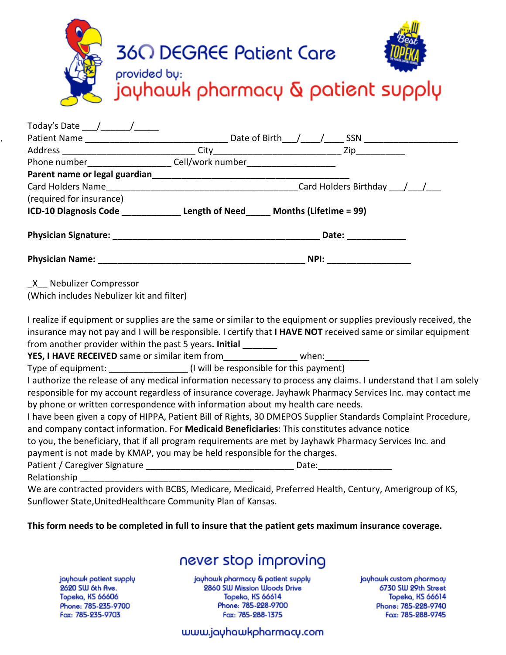|                     | <b>360 DEGREE Patient Care</b><br>provided by:<br>jayhawk pharmacy & patient supply |
|---------------------|-------------------------------------------------------------------------------------|
| Today's Date        | Date of Birth                                                                       |
| <b>Patient Name</b> | <b>SSN</b>                                                                          |

| $\blacksquare$                                                                   |  | $\frac{1}{2}$             |  |
|----------------------------------------------------------------------------------|--|---------------------------|--|
|                                                                                  |  |                           |  |
| Phone number__________________________Cell/work number__________________________ |  |                           |  |
|                                                                                  |  |                           |  |
|                                                                                  |  | Card Holders Birthday / / |  |
| (required for insurance)                                                         |  |                           |  |
| ICD-10 Diagnosis Code Length of Need Months (Lifetime = 99)                      |  |                           |  |
|                                                                                  |  | Date: ___________         |  |
|                                                                                  |  |                           |  |
| X Nebulizer Compressor<br>(Which includes Nebulizer kit and filter)              |  |                           |  |

I realize if equipment or supplies are the same or similar to the equipment or supplies previously received, the insurance may not pay and I will be responsible. I certify that **I HAVE NOT** received same or similar equipment from another provider within the past 5 years. **Initial** 

**YES, I HAVE RECEIVED** same or similar item from **the same of strategies** when:

Type of equipment:  $\qquad \qquad$  (I will be responsible for this payment)

I authorize the release of any medical information necessary to process any claims. I understand that I am solely responsible for my account regardless of insurance coverage. Jayhawk Pharmacy Services Inc. may contact me by phone or written correspondence with information about my health care needs.

I have been given a copy of HIPPA, Patient Bill of Rights, 30 DMEPOS Supplier Standards Complaint Procedure, and company contact information. For **Medicaid Beneficiaries**: This constitutes advance notice

to you, the beneficiary, that if all program requirements are met by Jayhawk Pharmacy Services Inc. and payment is not made by KMAP, you may be held responsible for the charges.

Patient / Caregiver Signature \_\_\_\_\_\_\_\_\_\_\_\_\_\_\_\_\_\_\_\_\_\_\_\_\_\_\_\_\_\_ Date:\_\_\_\_\_\_\_\_\_\_\_\_\_\_\_

Relationship

.

We are contracted providers with BCBS, Medicare, Medicaid, Preferred Health, Century, Amerigroup of KS, Sunflower State,UnitedHealthcare Community Plan of Kansas.

### **This form needs to be completed in full to insure that the patient gets maximum insurance coverage.**

# never stop improving

jayhawk patient supply 2620 SW 6th Ave. Topeka, KS 66606 Phone: 785-235-9700 Fax: 785-235-9703

jayhawk pharmacy & patient supply 2860 SW Mission Woods Drive Topeka, KS 66614 Phone: 785-228-9700 Fax: 785-288-1375

jayhawk custom pharmacy 6730 SW 29th Street Topeka, KS 66614 Phone: 785-228-9740 Fax: 785-288-9745

## www.jayhawkpharmacy.com